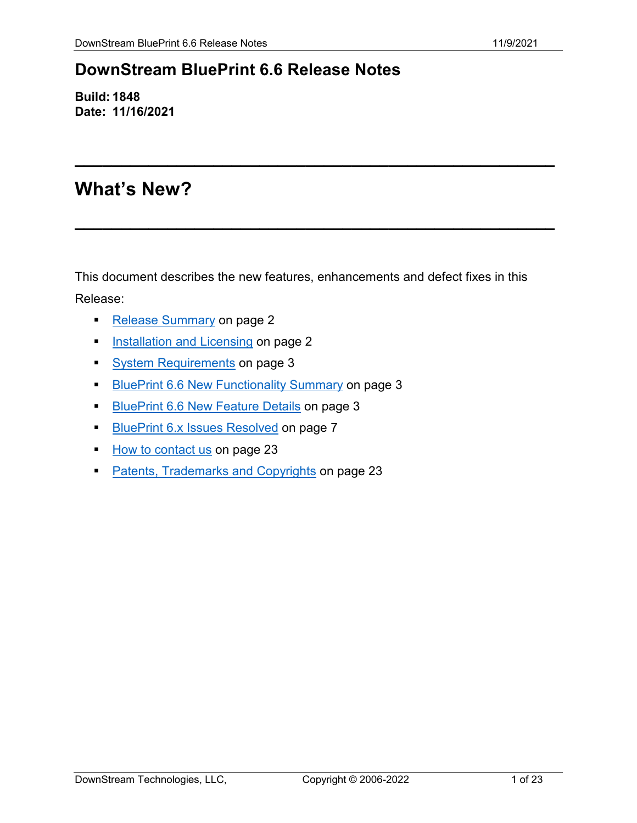## **DownStream BluePrint 6.6 Release Notes**

**Build: 1848 Date: 11/16/2021**

# **What's New?**

This document describes the new features, enhancements and defect fixes in this Release:

**\_\_\_\_\_\_\_\_\_\_\_\_\_\_\_\_\_\_\_\_\_\_\_\_\_\_\_\_\_\_\_\_\_\_\_\_\_\_\_\_\_\_\_\_\_\_\_\_\_\_\_\_**

**\_\_\_\_\_\_\_\_\_\_\_\_\_\_\_\_\_\_\_\_\_\_\_\_\_\_\_\_\_\_\_\_\_\_\_\_\_\_\_\_\_\_\_\_\_\_\_\_\_\_\_\_**

- [Release Summary](#page-1-0) on page 2
- **[Installation and Licensing](#page-1-1) on page 2**
- [System Requirements](#page-1-2) on page 3
- BluePrint 6.6 [New Functionality Summary](#page-2-0) on page 3
- **BluePrint 6.6 [New Feature Details](#page-2-1) on page 3**
- **BluePrint 6.x [Issues Resolved](#page-6-0) on page 7**
- [How to contact us](#page-22-0) on page 23
- [Patents, Trademarks and Copyrights](#page-22-1) on page 23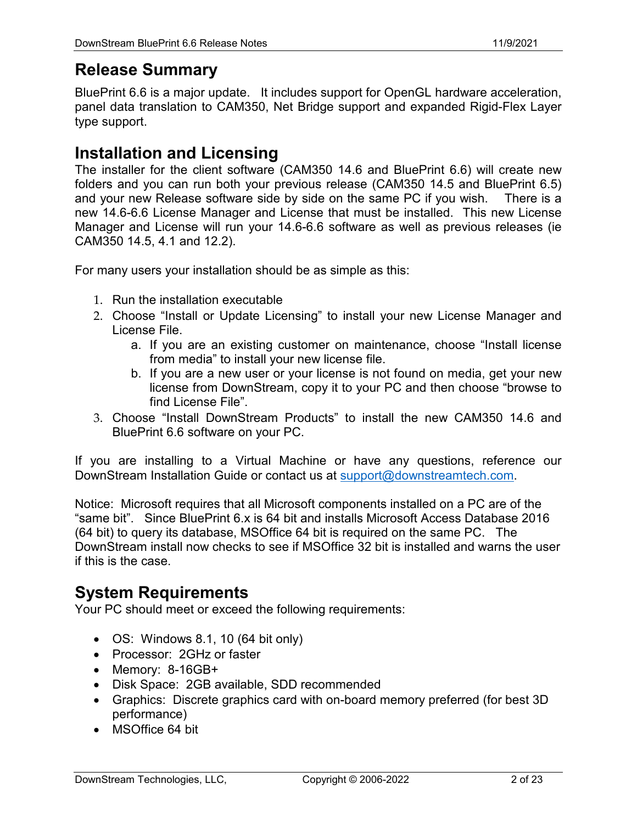## <span id="page-1-0"></span>**Release Summary**

BluePrint 6.6 is a major update. It includes support for OpenGL hardware acceleration, panel data translation to CAM350, Net Bridge support and expanded Rigid-Flex Layer type support.

## <span id="page-1-1"></span>**Installation and Licensing**

The installer for the client software (CAM350 14.6 and BluePrint 6.6) will create new folders and you can run both your previous release (CAM350 14.5 and BluePrint 6.5) and your new Release software side by side on the same PC if you wish. There is a new 14.6-6.6 License Manager and License that must be installed. This new License Manager and License will run your 14.6-6.6 software as well as previous releases (ie CAM350 14.5, 4.1 and 12.2).

For many users your installation should be as simple as this:

- 1. Run the installation executable
- 2. Choose "Install or Update Licensing" to install your new License Manager and License File.
	- a. If you are an existing customer on maintenance, choose "Install license from media" to install your new license file.
	- b. If you are a new user or your license is not found on media, get your new license from DownStream, copy it to your PC and then choose "browse to find License File".
- 3. Choose "Install DownStream Products" to install the new CAM350 14.6 and BluePrint 6.6 software on your PC.

If you are installing to a Virtual Machine or have any questions, reference our DownStream Installation Guide or contact us at [support@downstreamtech.com.](mailto:support@downstreamtech.com)

Notice: Microsoft requires that all Microsoft components installed on a PC are of the "same bit". Since BluePrint 6.x is 64 bit and installs Microsoft Access Database 2016 (64 bit) to query its database, MSOffice 64 bit is required on the same PC. The DownStream install now checks to see if MSOffice 32 bit is installed and warns the user if this is the case.

# <span id="page-1-2"></span>**System Requirements**

Your PC should meet or exceed the following requirements:

- OS: Windows 8.1, 10 (64 bit only)
- Processor: 2GHz or faster
- Memory: 8-16GB+
- Disk Space: 2GB available, SDD recommended
- Graphics: Discrete graphics card with on-board memory preferred (for best 3D performance)
- MSOffice 64 bit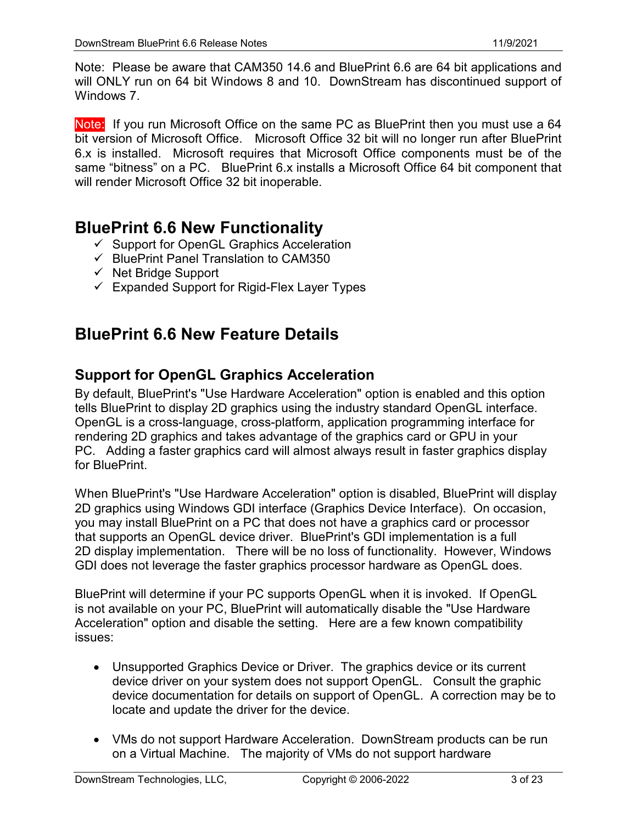Note: Please be aware that CAM350 14.6 and BluePrint 6.6 are 64 bit applications and will ONLY run on 64 bit Windows 8 and 10. DownStream has discontinued support of Windows 7

Note: If you run Microsoft Office on the same PC as BluePrint then you must use a 64 bit version of Microsoft Office. Microsoft Office 32 bit will no longer run after BluePrint 6.x is installed. Microsoft requires that Microsoft Office components must be of the same "bitness" on a PC. BluePrint 6.x installs a Microsoft Office 64 bit component that will render Microsoft Office 32 bit inoperable.

## <span id="page-2-0"></span>**BluePrint 6.6 New Functionality**

- $\checkmark$  Support for OpenGL Graphics Acceleration
- $\checkmark$  BluePrint Panel Translation to CAM350
- $\checkmark$  Net Bridge Support
- $\checkmark$  Expanded Support for Rigid-Flex Layer Types

## <span id="page-2-1"></span>**BluePrint 6.6 New Feature Details**

## **Support for OpenGL Graphics Acceleration**

By default, BluePrint's "Use Hardware Acceleration" option is enabled and this option tells BluePrint to display 2D graphics using the industry standard OpenGL interface. OpenGL is a cross-language, cross-platform, application programming interface for rendering 2D graphics and takes advantage of the graphics card or GPU in your PC. Adding a faster graphics card will almost always result in faster graphics display for BluePrint.

When BluePrint's "Use Hardware Acceleration" option is disabled, BluePrint will display 2D graphics using Windows GDI interface (Graphics Device Interface). On occasion, you may install BluePrint on a PC that does not have a graphics card or processor that supports an OpenGL device driver. BluePrint's GDI implementation is a full 2D display implementation. There will be no loss of functionality. However, Windows GDI does not leverage the faster graphics processor hardware as OpenGL does.

BluePrint will determine if your PC supports OpenGL when it is invoked. If OpenGL is not available on your PC, BluePrint will automatically disable the "Use Hardware Acceleration" option and disable the setting. Here are a few known compatibility issues:

- Unsupported Graphics Device or Driver. The graphics device or its current device driver on your system does not support OpenGL. Consult the graphic device documentation for details on support of OpenGL. A correction may be to locate and update the driver for the device.
- VMs do not support Hardware Acceleration. DownStream products can be run on a Virtual Machine. The majority of VMs do not support hardware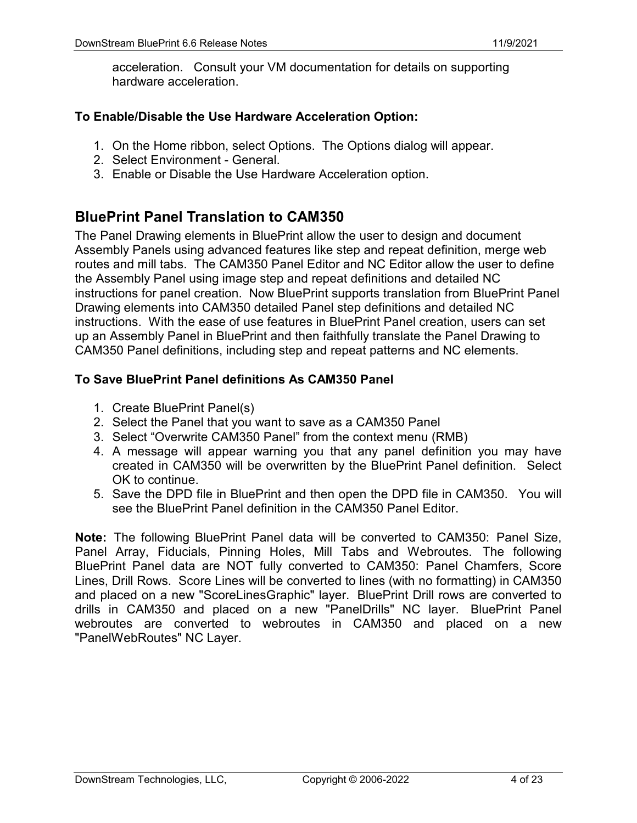acceleration. Consult your VM documentation for details on supporting hardware acceleration.

#### **To Enable/Disable the Use Hardware Acceleration Option:**

- 1. On the Home ribbon, select Options. The Options dialog will appear.
- 2. Select Environment General.
- 3. Enable or Disable the Use Hardware Acceleration option.

## **BluePrint Panel Translation to CAM350**

The Panel Drawing elements in BluePrint allow the user to design and document Assembly Panels using advanced features like step and repeat definition, merge web routes and mill tabs. The CAM350 Panel Editor and NC Editor allow the user to define the Assembly Panel using image step and repeat definitions and detailed NC instructions for panel creation. Now BluePrint supports translation from BluePrint Panel Drawing elements into CAM350 detailed Panel step definitions and detailed NC instructions. With the ease of use features in BluePrint Panel creation, users can set up an Assembly Panel in BluePrint and then faithfully translate the Panel Drawing to CAM350 Panel definitions, including step and repeat patterns and NC elements.

### **To Save BluePrint Panel definitions As CAM350 Panel**

- 1. Create BluePrint Panel(s)
- 2. Select the Panel that you want to save as a CAM350 Panel
- 3. Select "Overwrite CAM350 Panel" from the context menu (RMB)
- 4. A message will appear warning you that any panel definition you may have created in CAM350 will be overwritten by the BluePrint Panel definition. Select OK to continue.
- 5. Save the DPD file in BluePrint and then open the DPD file in CAM350. You will see the BluePrint Panel definition in the CAM350 Panel Editor.

**Note:** The following BluePrint Panel data will be converted to CAM350: Panel Size, Panel Array, Fiducials, Pinning Holes, Mill Tabs and Webroutes. The following BluePrint Panel data are NOT fully converted to CAM350: Panel Chamfers, Score Lines, Drill Rows. Score Lines will be converted to lines (with no formatting) in CAM350 and placed on a new "ScoreLinesGraphic" layer. BluePrint Drill rows are converted to drills in CAM350 and placed on a new "PanelDrills" NC layer. BluePrint Panel webroutes are converted to webroutes in CAM350 and placed on a new "PanelWebRoutes" NC Layer.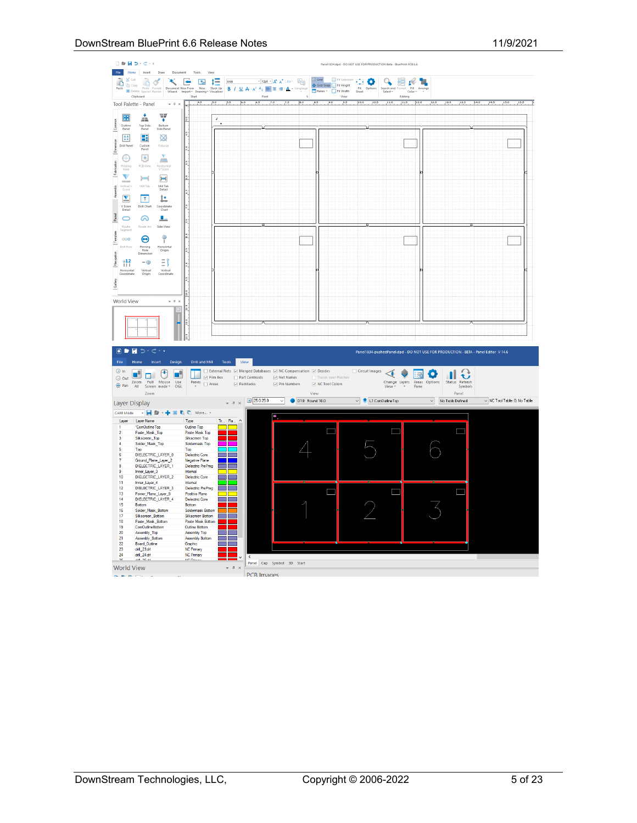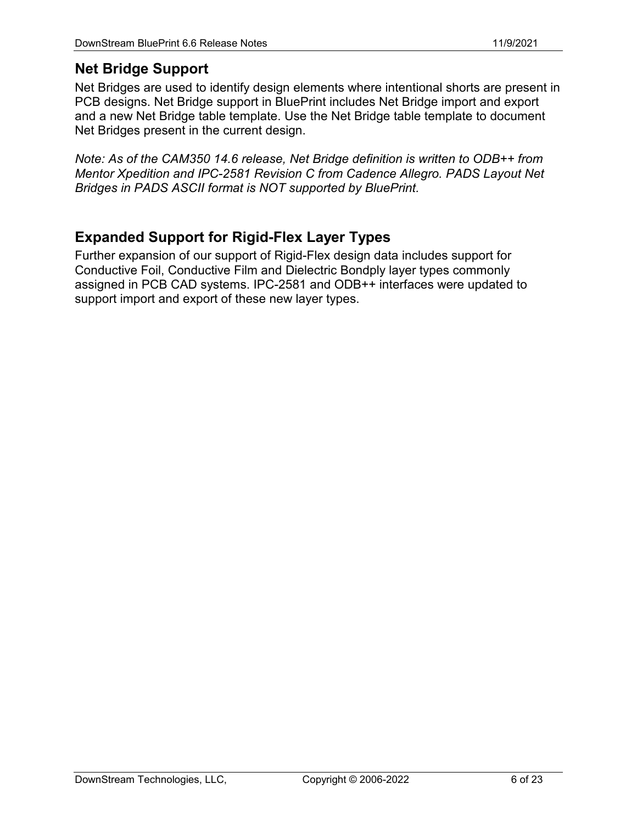## **Net Bridge Support**

Net Bridges are used to identify design elements where intentional shorts are present in PCB designs. Net Bridge support in BluePrint includes Net Bridge import and export and a new Net Bridge table template. Use the Net Bridge table template to document Net Bridges present in the current design.

*Note: As of the CAM350 14.6 release, Net Bridge definition is written to ODB++ from Mentor Xpedition and IPC-2581 Revision C from Cadence Allegro. PADS Layout Net Bridges in PADS ASCII format is NOT supported by BluePrint.*

## **Expanded Support for Rigid-Flex Layer Types**

Further expansion of our support of Rigid-Flex design data includes support for Conductive Foil, Conductive Film and Dielectric Bondply layer types commonly assigned in PCB CAD systems. IPC-2581 and ODB++ interfaces were updated to support import and export of these new layer types.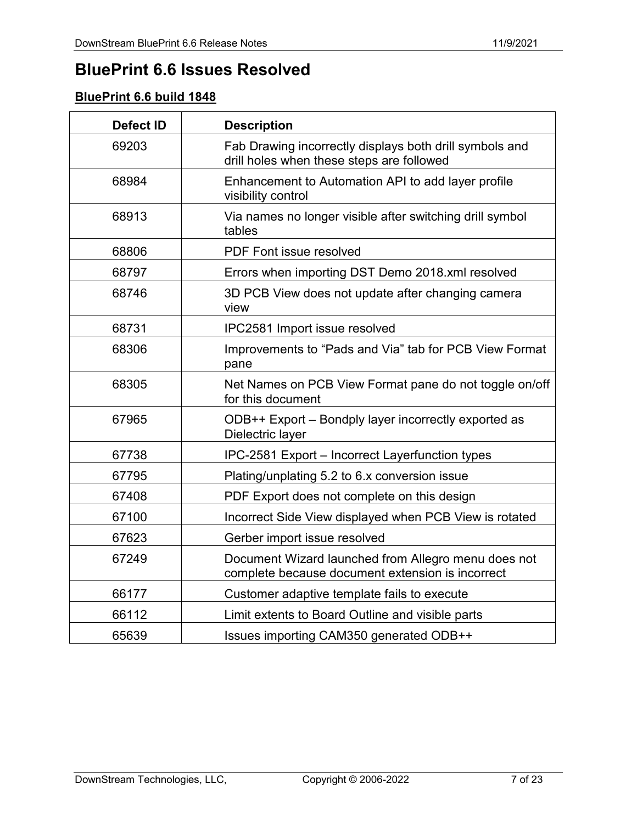# <span id="page-6-0"></span>**BluePrint 6.6 Issues Resolved**

| <b>Defect ID</b> | <b>Description</b>                                                                                      |
|------------------|---------------------------------------------------------------------------------------------------------|
| 69203            | Fab Drawing incorrectly displays both drill symbols and<br>drill holes when these steps are followed    |
| 68984            | Enhancement to Automation API to add layer profile<br>visibility control                                |
| 68913            | Via names no longer visible after switching drill symbol<br>tables                                      |
| 68806            | PDF Font issue resolved                                                                                 |
| 68797            | Errors when importing DST Demo 2018.xml resolved                                                        |
| 68746            | 3D PCB View does not update after changing camera<br>view                                               |
| 68731            | IPC2581 Import issue resolved                                                                           |
| 68306            | Improvements to "Pads and Via" tab for PCB View Format<br>pane                                          |
| 68305            | Net Names on PCB View Format pane do not toggle on/off<br>for this document                             |
| 67965            | ODB++ Export - Bondply layer incorrectly exported as<br>Dielectric layer                                |
| 67738            | IPC-2581 Export – Incorrect Layerfunction types                                                         |
| 67795            | Plating/unplating 5.2 to 6.x conversion issue                                                           |
| 67408            | PDF Export does not complete on this design                                                             |
| 67100            | Incorrect Side View displayed when PCB View is rotated                                                  |
| 67623            | Gerber import issue resolved                                                                            |
| 67249            | Document Wizard launched from Allegro menu does not<br>complete because document extension is incorrect |
| 66177            | Customer adaptive template fails to execute                                                             |
| 66112            | Limit extents to Board Outline and visible parts                                                        |
| 65639            | Issues importing CAM350 generated ODB++                                                                 |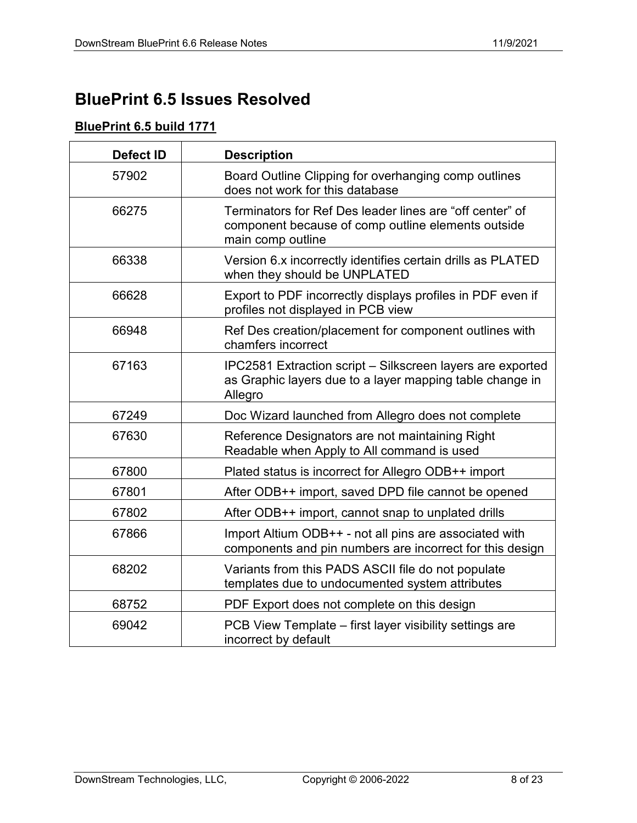# **BluePrint 6.5 Issues Resolved**

| Defect ID | <b>Description</b>                                                                                                                  |
|-----------|-------------------------------------------------------------------------------------------------------------------------------------|
| 57902     | Board Outline Clipping for overhanging comp outlines<br>does not work for this database                                             |
| 66275     | Terminators for Ref Des leader lines are "off center" of<br>component because of comp outline elements outside<br>main comp outline |
| 66338     | Version 6.x incorrectly identifies certain drills as PLATED<br>when they should be UNPLATED                                         |
| 66628     | Export to PDF incorrectly displays profiles in PDF even if<br>profiles not displayed in PCB view                                    |
| 66948     | Ref Des creation/placement for component outlines with<br>chamfers incorrect                                                        |
| 67163     | IPC2581 Extraction script - Silkscreen layers are exported<br>as Graphic layers due to a layer mapping table change in<br>Allegro   |
| 67249     | Doc Wizard launched from Allegro does not complete                                                                                  |
| 67630     | Reference Designators are not maintaining Right<br>Readable when Apply to All command is used                                       |
| 67800     | Plated status is incorrect for Allegro ODB++ import                                                                                 |
| 67801     | After ODB++ import, saved DPD file cannot be opened                                                                                 |
| 67802     | After ODB++ import, cannot snap to unplated drills                                                                                  |
| 67866     | Import Altium ODB++ - not all pins are associated with<br>components and pin numbers are incorrect for this design                  |
| 68202     | Variants from this PADS ASCII file do not populate<br>templates due to undocumented system attributes                               |
| 68752     | PDF Export does not complete on this design                                                                                         |
| 69042     | PCB View Template – first layer visibility settings are<br>incorrect by default                                                     |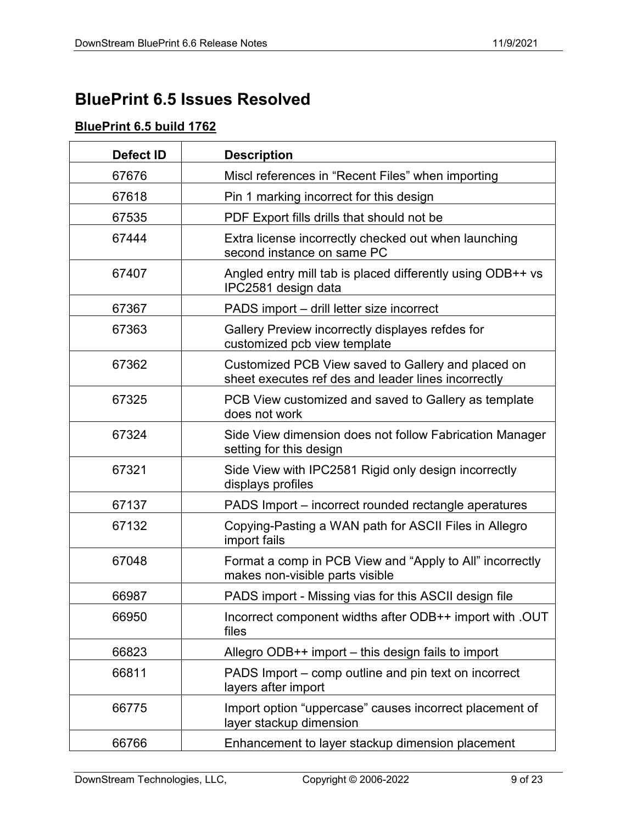# **BluePrint 6.5 Issues Resolved**

| <b>Defect ID</b> | <b>Description</b>                                                                                        |
|------------------|-----------------------------------------------------------------------------------------------------------|
| 67676            | Miscl references in "Recent Files" when importing                                                         |
| 67618            | Pin 1 marking incorrect for this design                                                                   |
| 67535            | PDF Export fills drills that should not be                                                                |
| 67444            | Extra license incorrectly checked out when launching<br>second instance on same PC                        |
| 67407            | Angled entry mill tab is placed differently using ODB++ vs<br>IPC2581 design data                         |
| 67367            | PADS import – drill letter size incorrect                                                                 |
| 67363            | Gallery Preview incorrectly displayes refdes for<br>customized pcb view template                          |
| 67362            | Customized PCB View saved to Gallery and placed on<br>sheet executes ref des and leader lines incorrectly |
| 67325            | PCB View customized and saved to Gallery as template<br>does not work                                     |
| 67324            | Side View dimension does not follow Fabrication Manager<br>setting for this design                        |
| 67321            | Side View with IPC2581 Rigid only design incorrectly<br>displays profiles                                 |
| 67137            | PADS Import – incorrect rounded rectangle aperatures                                                      |
| 67132            | Copying-Pasting a WAN path for ASCII Files in Allegro<br>import fails                                     |
| 67048            | Format a comp in PCB View and "Apply to All" incorrectly<br>makes non-visible parts visible               |
| 66987            | PADS import - Missing vias for this ASCII design file                                                     |
| 66950            | Incorrect component widths after ODB++ import with .OUT<br>files                                          |
| 66823            | Allegro ODB++ import - this design fails to import                                                        |
| 66811            | PADS Import - comp outline and pin text on incorrect<br>layers after import                               |
| 66775            | Import option "uppercase" causes incorrect placement of<br>layer stackup dimension                        |
| 66766            | Enhancement to layer stackup dimension placement                                                          |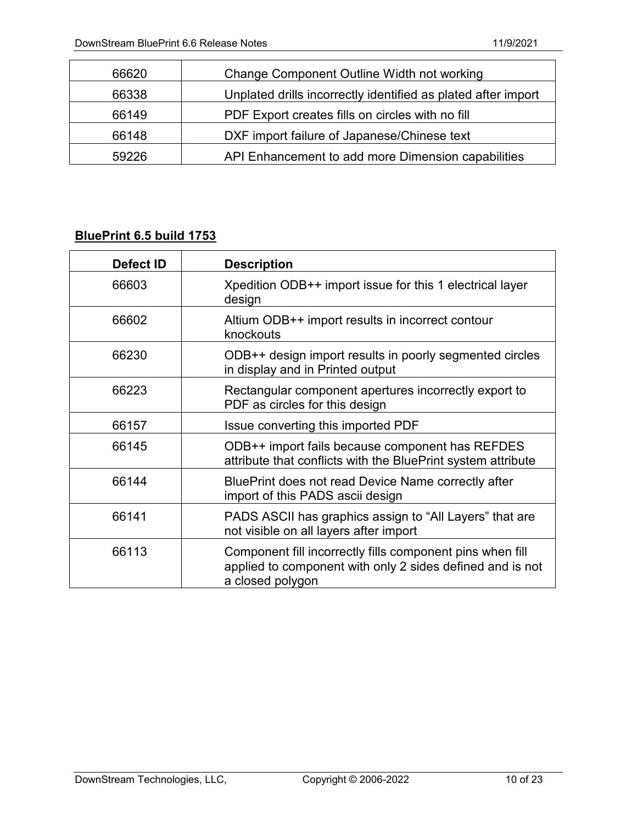| 66620 | Change Component Outline Width not working                    |
|-------|---------------------------------------------------------------|
| 66338 | Unplated drills incorrectly identified as plated after import |
| 66149 | PDF Export creates fills on circles with no fill              |
| 66148 | DXF import failure of Japanese/Chinese text                   |
| 59226 | API Enhancement to add more Dimension capabilities            |

| <b>Defect ID</b> | <b>Description</b>                                                                                                                         |
|------------------|--------------------------------------------------------------------------------------------------------------------------------------------|
| 66603            | Xpedition ODB++ import issue for this 1 electrical layer<br>design                                                                         |
| 66602            | Altium ODB++ import results in incorrect contour<br>knockouts                                                                              |
| 66230            | ODB++ design import results in poorly segmented circles<br>in display and in Printed output                                                |
| 66223            | Rectangular component apertures incorrectly export to<br>PDF as circles for this design                                                    |
| 66157            | Issue converting this imported PDF                                                                                                         |
| 66145            | ODB++ import fails because component has REFDES<br>attribute that conflicts with the BluePrint system attribute                            |
| 66144            | BluePrint does not read Device Name correctly after<br>import of this PADS ascii design                                                    |
| 66141            | PADS ASCII has graphics assign to "All Layers" that are<br>not visible on all layers after import                                          |
| 66113            | Component fill incorrectly fills component pins when fill<br>applied to component with only 2 sides defined and is not<br>a closed polygon |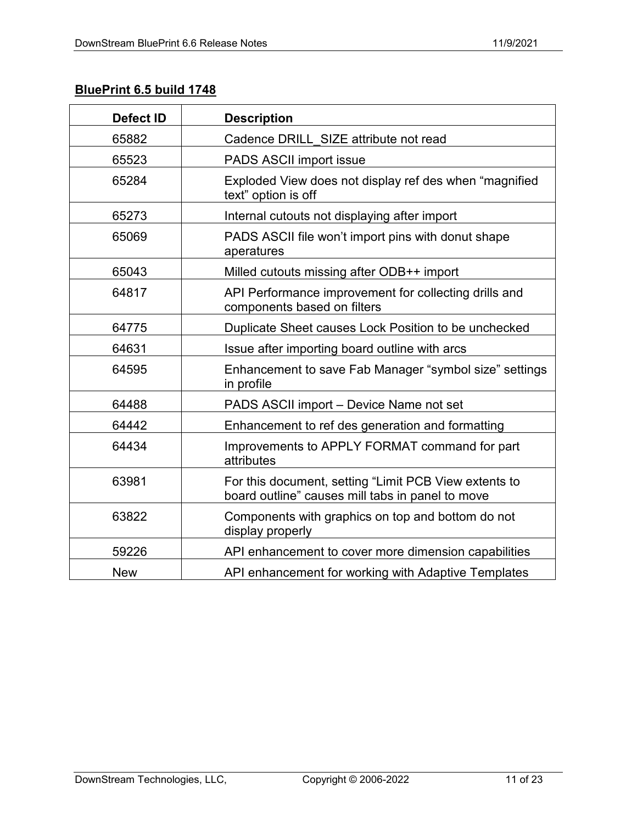| <b>Defect ID</b> | <b>Description</b>                                                                                        |
|------------------|-----------------------------------------------------------------------------------------------------------|
| 65882            | Cadence DRILL SIZE attribute not read                                                                     |
| 65523            | PADS ASCII import issue                                                                                   |
| 65284            | Exploded View does not display ref des when "magnified<br>text" option is off                             |
| 65273            | Internal cutouts not displaying after import                                                              |
| 65069            | PADS ASCII file won't import pins with donut shape<br>aperatures                                          |
| 65043            | Milled cutouts missing after ODB++ import                                                                 |
| 64817            | API Performance improvement for collecting drills and<br>components based on filters                      |
| 64775            | Duplicate Sheet causes Lock Position to be unchecked                                                      |
| 64631            | Issue after importing board outline with arcs                                                             |
| 64595            | Enhancement to save Fab Manager "symbol size" settings<br>in profile                                      |
| 64488            | PADS ASCII import - Device Name not set                                                                   |
| 64442            | Enhancement to ref des generation and formatting                                                          |
| 64434            | Improvements to APPLY FORMAT command for part<br>attributes                                               |
| 63981            | For this document, setting "Limit PCB View extents to<br>board outline" causes mill tabs in panel to move |
| 63822            | Components with graphics on top and bottom do not<br>display properly                                     |
| 59226            | API enhancement to cover more dimension capabilities                                                      |
| <b>New</b>       | API enhancement for working with Adaptive Templates                                                       |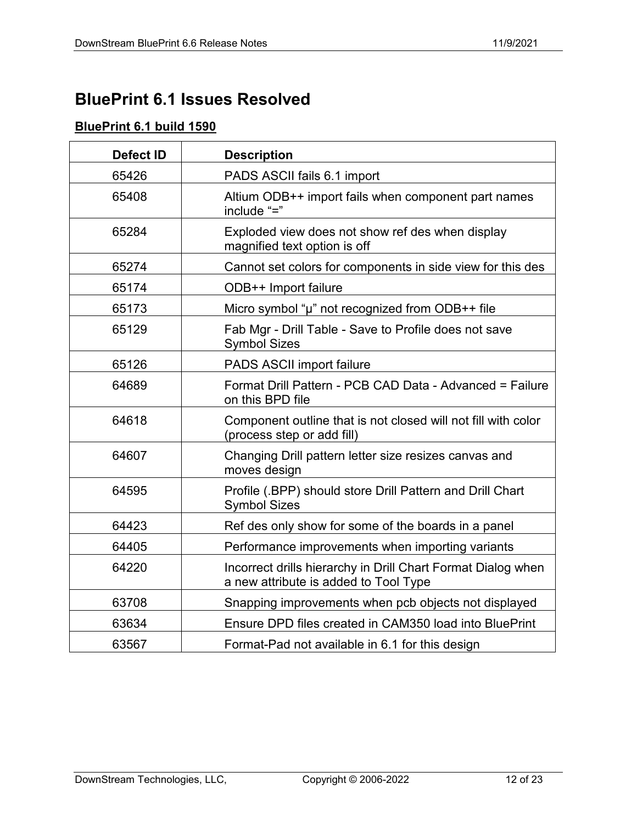# **BluePrint 6.1 Issues Resolved**

| <b>Defect ID</b> | <b>Description</b>                                                                                    |
|------------------|-------------------------------------------------------------------------------------------------------|
| 65426            | PADS ASCII fails 6.1 import                                                                           |
| 65408            | Altium ODB++ import fails when component part names<br>include "="                                    |
| 65284            | Exploded view does not show ref des when display<br>magnified text option is off                      |
| 65274            | Cannot set colors for components in side view for this des                                            |
| 65174            | ODB++ Import failure                                                                                  |
| 65173            | Micro symbol "µ" not recognized from ODB++ file                                                       |
| 65129            | Fab Mgr - Drill Table - Save to Profile does not save<br><b>Symbol Sizes</b>                          |
| 65126            | <b>PADS ASCII import failure</b>                                                                      |
| 64689            | Format Drill Pattern - PCB CAD Data - Advanced = Failure<br>on this BPD file                          |
| 64618            | Component outline that is not closed will not fill with color<br>(process step or add fill)           |
| 64607            | Changing Drill pattern letter size resizes canvas and<br>moves design                                 |
| 64595            | Profile (.BPP) should store Drill Pattern and Drill Chart<br><b>Symbol Sizes</b>                      |
| 64423            | Ref des only show for some of the boards in a panel                                                   |
| 64405            | Performance improvements when importing variants                                                      |
| 64220            | Incorrect drills hierarchy in Drill Chart Format Dialog when<br>a new attribute is added to Tool Type |
| 63708            | Snapping improvements when pcb objects not displayed                                                  |
| 63634            | Ensure DPD files created in CAM350 load into BluePrint                                                |
| 63567            | Format-Pad not available in 6.1 for this design                                                       |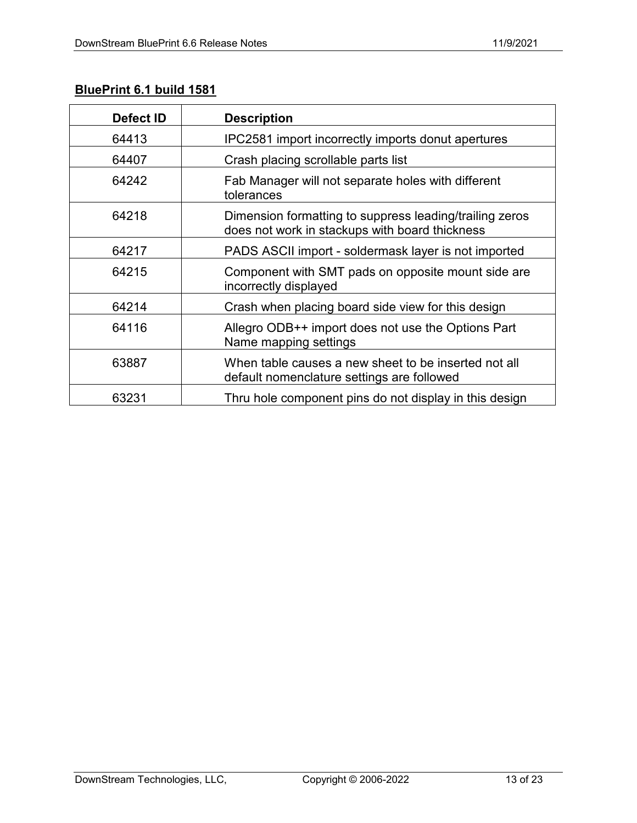| <b>Defect ID</b> | <b>Description</b>                                                                                        |
|------------------|-----------------------------------------------------------------------------------------------------------|
| 64413            | IPC2581 import incorrectly imports donut apertures                                                        |
| 64407            | Crash placing scrollable parts list                                                                       |
| 64242            | Fab Manager will not separate holes with different<br>tolerances                                          |
| 64218            | Dimension formatting to suppress leading/trailing zeros<br>does not work in stackups with board thickness |
| 64217            | PADS ASCII import - soldermask layer is not imported                                                      |
| 64215            | Component with SMT pads on opposite mount side are<br>incorrectly displayed                               |
| 64214            | Crash when placing board side view for this design                                                        |
| 64116            | Allegro ODB++ import does not use the Options Part<br>Name mapping settings                               |
| 63887            | When table causes a new sheet to be inserted not all<br>default nomenclature settings are followed        |
| 63231            | Thru hole component pins do not display in this design                                                    |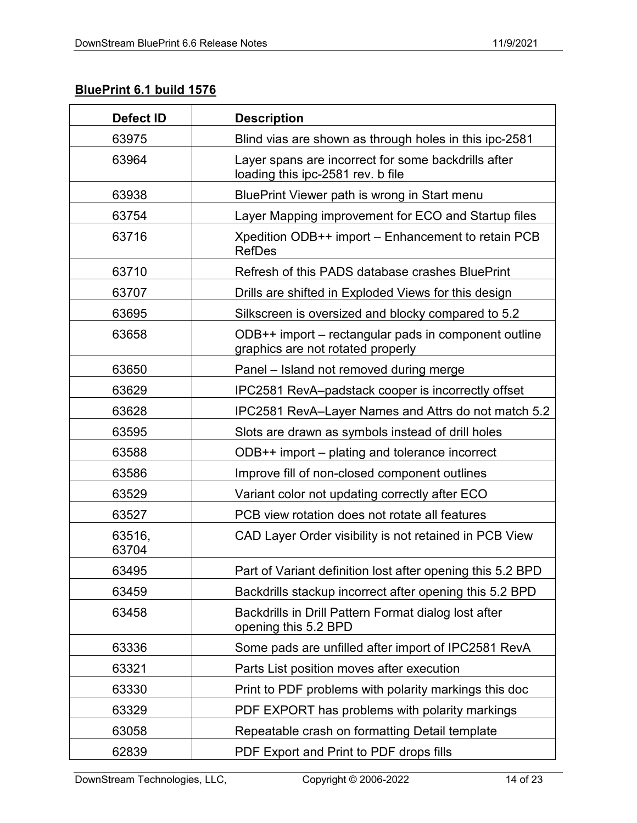| <b>Defect ID</b> | <b>Description</b>                                                                        |
|------------------|-------------------------------------------------------------------------------------------|
| 63975            | Blind vias are shown as through holes in this ipc-2581                                    |
| 63964            | Layer spans are incorrect for some backdrills after<br>loading this ipc-2581 rev. b file  |
| 63938            | BluePrint Viewer path is wrong in Start menu                                              |
| 63754            | Layer Mapping improvement for ECO and Startup files                                       |
| 63716            | Xpedition ODB++ import – Enhancement to retain PCB<br><b>RefDes</b>                       |
| 63710            | Refresh of this PADS database crashes BluePrint                                           |
| 63707            | Drills are shifted in Exploded Views for this design                                      |
| 63695            | Silkscreen is oversized and blocky compared to 5.2                                        |
| 63658            | ODB++ import – rectangular pads in component outline<br>graphics are not rotated properly |
| 63650            | Panel - Island not removed during merge                                                   |
| 63629            | IPC2581 RevA-padstack cooper is incorrectly offset                                        |
| 63628            | IPC2581 RevA-Layer Names and Attrs do not match 5.2                                       |
| 63595            | Slots are drawn as symbols instead of drill holes                                         |
| 63588            | ODB++ import – plating and tolerance incorrect                                            |
| 63586            | Improve fill of non-closed component outlines                                             |
| 63529            | Variant color not updating correctly after ECO                                            |
| 63527            | PCB view rotation does not rotate all features                                            |
| 63516,<br>63704  | CAD Layer Order visibility is not retained in PCB View                                    |
| 63495            | Part of Variant definition lost after opening this 5.2 BPD                                |
| 63459            | Backdrills stackup incorrect after opening this 5.2 BPD                                   |
| 63458            | Backdrills in Drill Pattern Format dialog lost after<br>opening this 5.2 BPD              |
| 63336            | Some pads are unfilled after import of IPC2581 RevA                                       |
| 63321            | Parts List position moves after execution                                                 |
| 63330            | Print to PDF problems with polarity markings this doc                                     |
| 63329            | PDF EXPORT has problems with polarity markings                                            |
| 63058            | Repeatable crash on formatting Detail template                                            |
| 62839            | PDF Export and Print to PDF drops fills                                                   |

DownStream Technologies, LLC, Copyright © 2006-2022 14 of 23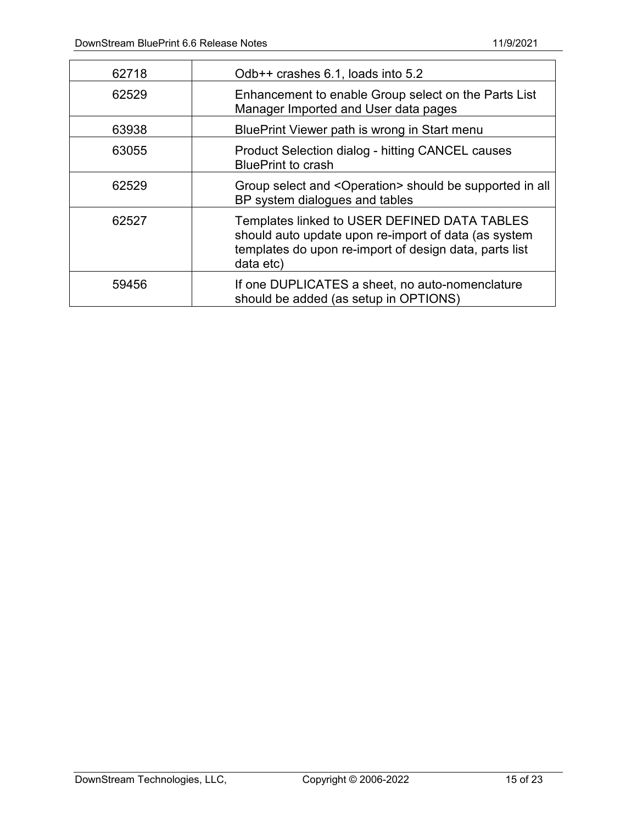| 62718 | Odb++ crashes 6.1, loads into 5.2                                                                                                                                           |
|-------|-----------------------------------------------------------------------------------------------------------------------------------------------------------------------------|
| 62529 | Enhancement to enable Group select on the Parts List<br>Manager Imported and User data pages                                                                                |
| 63938 | BluePrint Viewer path is wrong in Start menu                                                                                                                                |
| 63055 | <b>Product Selection dialog - hitting CANCEL causes</b><br><b>BluePrint to crash</b>                                                                                        |
| 62529 | Group select and <operation> should be supported in all<br/>BP system dialogues and tables</operation>                                                                      |
| 62527 | Templates linked to USER DEFINED DATA TABLES<br>should auto update upon re-import of data (as system<br>templates do upon re-import of design data, parts list<br>data etc) |
| 59456 | If one DUPLICATES a sheet, no auto-nomenclature<br>should be added (as setup in OPTIONS)                                                                                    |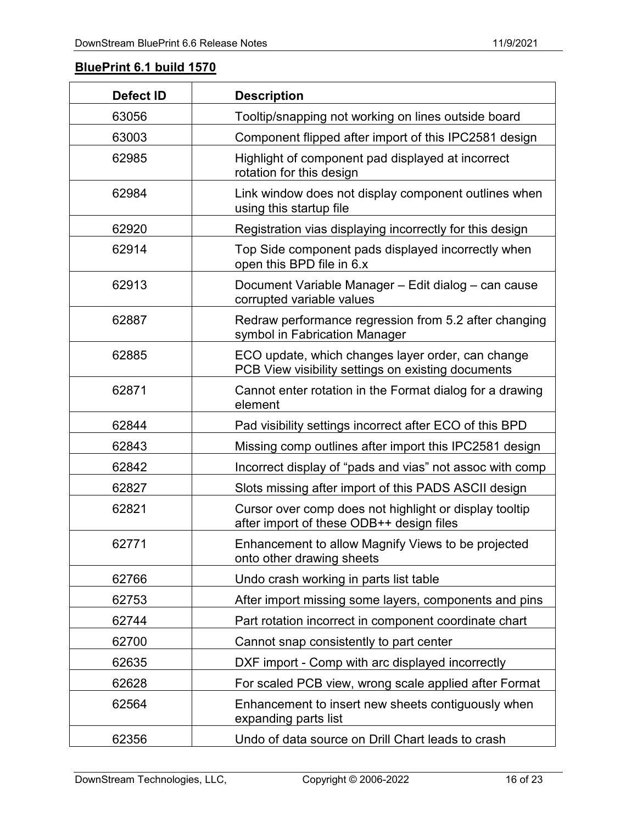| <b>Defect ID</b> | <b>Description</b>                                                                                      |
|------------------|---------------------------------------------------------------------------------------------------------|
| 63056            | Tooltip/snapping not working on lines outside board                                                     |
| 63003            | Component flipped after import of this IPC2581 design                                                   |
| 62985            | Highlight of component pad displayed at incorrect<br>rotation for this design                           |
| 62984            | Link window does not display component outlines when<br>using this startup file                         |
| 62920            | Registration vias displaying incorrectly for this design                                                |
| 62914            | Top Side component pads displayed incorrectly when<br>open this BPD file in 6.x                         |
| 62913            | Document Variable Manager - Edit dialog - can cause<br>corrupted variable values                        |
| 62887            | Redraw performance regression from 5.2 after changing<br>symbol in Fabrication Manager                  |
| 62885            | ECO update, which changes layer order, can change<br>PCB View visibility settings on existing documents |
| 62871            | Cannot enter rotation in the Format dialog for a drawing<br>element                                     |
| 62844            | Pad visibility settings incorrect after ECO of this BPD                                                 |
| 62843            | Missing comp outlines after import this IPC2581 design                                                  |
| 62842            | Incorrect display of "pads and vias" not assoc with comp                                                |
| 62827            | Slots missing after import of this PADS ASCII design                                                    |
| 62821            | Cursor over comp does not highlight or display tooltip<br>after import of these ODB++ design files      |
| 62771            | Enhancement to allow Magnify Views to be projected<br>onto other drawing sheets                         |
| 62766            | Undo crash working in parts list table                                                                  |
| 62753            | After import missing some layers, components and pins                                                   |
| 62744            | Part rotation incorrect in component coordinate chart                                                   |
| 62700            | Cannot snap consistently to part center                                                                 |
| 62635            | DXF import - Comp with arc displayed incorrectly                                                        |
| 62628            | For scaled PCB view, wrong scale applied after Format                                                   |
| 62564            | Enhancement to insert new sheets contiguously when<br>expanding parts list                              |
| 62356            | Undo of data source on Drill Chart leads to crash                                                       |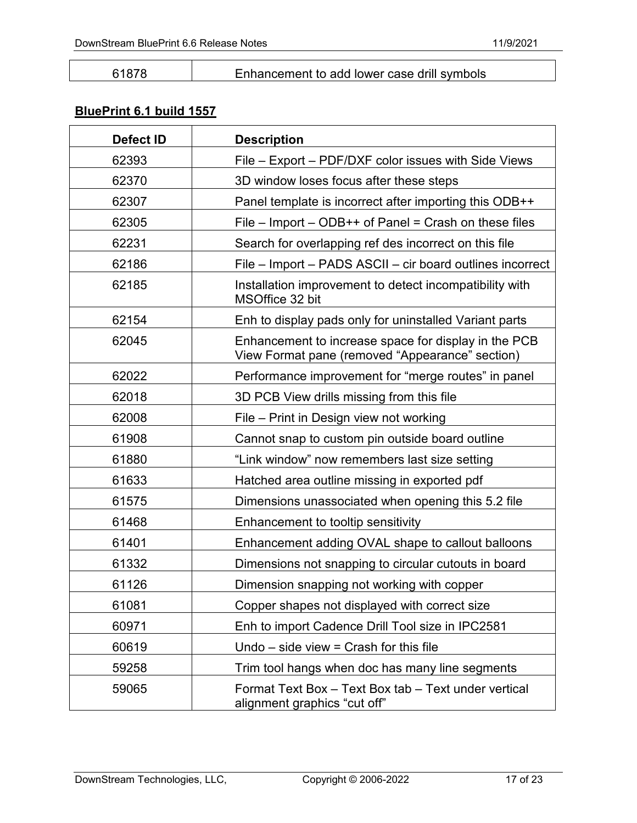Enhancement to add lower case drill symbols

| <b>Defect ID</b> | <b>Description</b>                                                                                      |
|------------------|---------------------------------------------------------------------------------------------------------|
| 62393            | File – Export – PDF/DXF color issues with Side Views                                                    |
| 62370            | 3D window loses focus after these steps                                                                 |
| 62307            | Panel template is incorrect after importing this ODB++                                                  |
| 62305            | File – Import – ODB++ of Panel = Crash on these files                                                   |
| 62231            | Search for overlapping ref des incorrect on this file                                                   |
| 62186            | File – Import – PADS ASCII – cir board outlines incorrect                                               |
| 62185            | Installation improvement to detect incompatibility with<br>MSOffice 32 bit                              |
| 62154            | Enh to display pads only for uninstalled Variant parts                                                  |
| 62045            | Enhancement to increase space for display in the PCB<br>View Format pane (removed "Appearance" section) |
| 62022            | Performance improvement for "merge routes" in panel                                                     |
| 62018            | 3D PCB View drills missing from this file                                                               |
| 62008            | File – Print in Design view not working                                                                 |
| 61908            | Cannot snap to custom pin outside board outline                                                         |
| 61880            | "Link window" now remembers last size setting                                                           |
| 61633            | Hatched area outline missing in exported pdf                                                            |
| 61575            | Dimensions unassociated when opening this 5.2 file                                                      |
| 61468            | Enhancement to tooltip sensitivity                                                                      |
| 61401            | Enhancement adding OVAL shape to callout balloons                                                       |
| 61332            | Dimensions not snapping to circular cutouts in board                                                    |
| 61126            | Dimension snapping not working with copper                                                              |
| 61081            | Copper shapes not displayed with correct size                                                           |
| 60971            | Enh to import Cadence Drill Tool size in IPC2581                                                        |
| 60619            | Undo $-$ side view $=$ Crash for this file                                                              |
| 59258            | Trim tool hangs when doc has many line segments                                                         |
| 59065            | Format Text Box - Text Box tab - Text under vertical<br>alignment graphics "cut off"                    |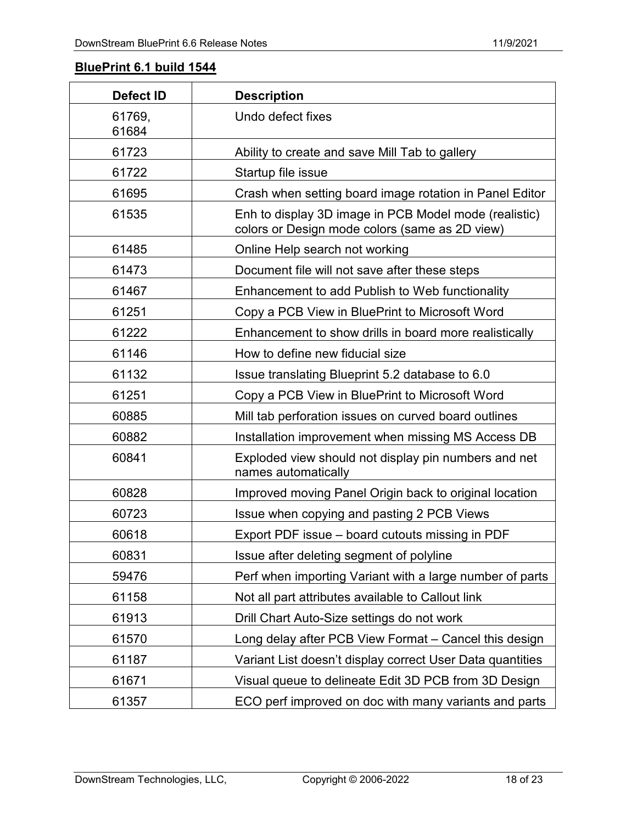| <b>Defect ID</b> | <b>Description</b>                                                                                      |
|------------------|---------------------------------------------------------------------------------------------------------|
| 61769,<br>61684  | Undo defect fixes                                                                                       |
| 61723            | Ability to create and save Mill Tab to gallery                                                          |
| 61722            | Startup file issue                                                                                      |
| 61695            | Crash when setting board image rotation in Panel Editor                                                 |
| 61535            | Enh to display 3D image in PCB Model mode (realistic)<br>colors or Design mode colors (same as 2D view) |
| 61485            | Online Help search not working                                                                          |
| 61473            | Document file will not save after these steps                                                           |
| 61467            | Enhancement to add Publish to Web functionality                                                         |
| 61251            | Copy a PCB View in BluePrint to Microsoft Word                                                          |
| 61222            | Enhancement to show drills in board more realistically                                                  |
| 61146            | How to define new fiducial size                                                                         |
| 61132            | Issue translating Blueprint 5.2 database to 6.0                                                         |
| 61251            | Copy a PCB View in BluePrint to Microsoft Word                                                          |
| 60885            | Mill tab perforation issues on curved board outlines                                                    |
| 60882            | Installation improvement when missing MS Access DB                                                      |
| 60841            | Exploded view should not display pin numbers and net<br>names automatically                             |
| 60828            | Improved moving Panel Origin back to original location                                                  |
| 60723            | Issue when copying and pasting 2 PCB Views                                                              |
| 60618            | Export PDF issue - board cutouts missing in PDF                                                         |
| 60831            | Issue after deleting segment of polyline                                                                |
| 59476            | Perf when importing Variant with a large number of parts                                                |
| 61158            | Not all part attributes available to Callout link                                                       |
| 61913            | Drill Chart Auto-Size settings do not work                                                              |
| 61570            | Long delay after PCB View Format - Cancel this design                                                   |
| 61187            | Variant List doesn't display correct User Data quantities                                               |
| 61671            | Visual queue to delineate Edit 3D PCB from 3D Design                                                    |
| 61357            | ECO perf improved on doc with many variants and parts                                                   |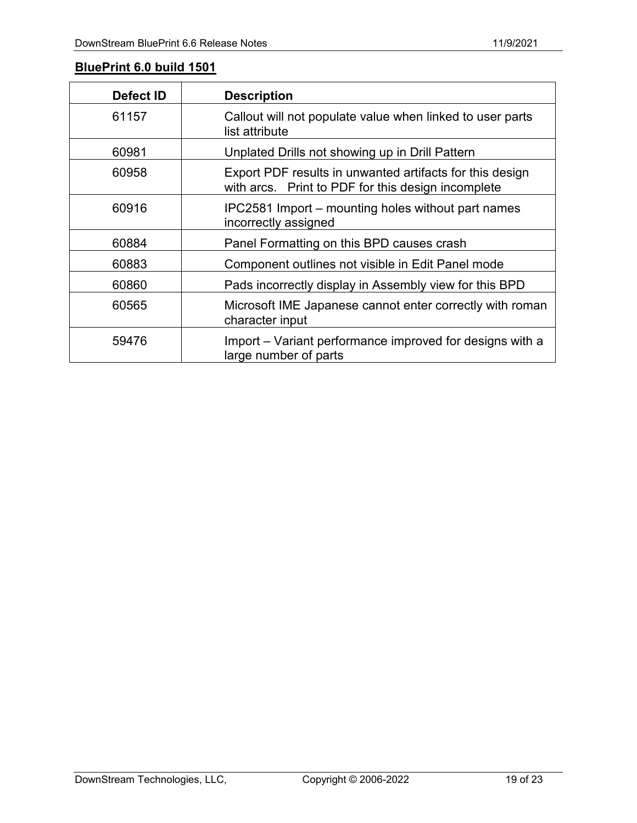| Defect ID | <b>Description</b>                                                                                             |
|-----------|----------------------------------------------------------------------------------------------------------------|
| 61157     | Callout will not populate value when linked to user parts<br>list attribute                                    |
| 60981     | Unplated Drills not showing up in Drill Pattern                                                                |
| 60958     | Export PDF results in unwanted artifacts for this design<br>with arcs. Print to PDF for this design incomplete |
| 60916     | IPC2581 Import – mounting holes without part names<br>incorrectly assigned                                     |
| 60884     | Panel Formatting on this BPD causes crash                                                                      |
| 60883     | Component outlines not visible in Edit Panel mode                                                              |
| 60860     | Pads incorrectly display in Assembly view for this BPD                                                         |
| 60565     | Microsoft IME Japanese cannot enter correctly with roman<br>character input                                    |
| 59476     | Import – Variant performance improved for designs with a<br>large number of parts                              |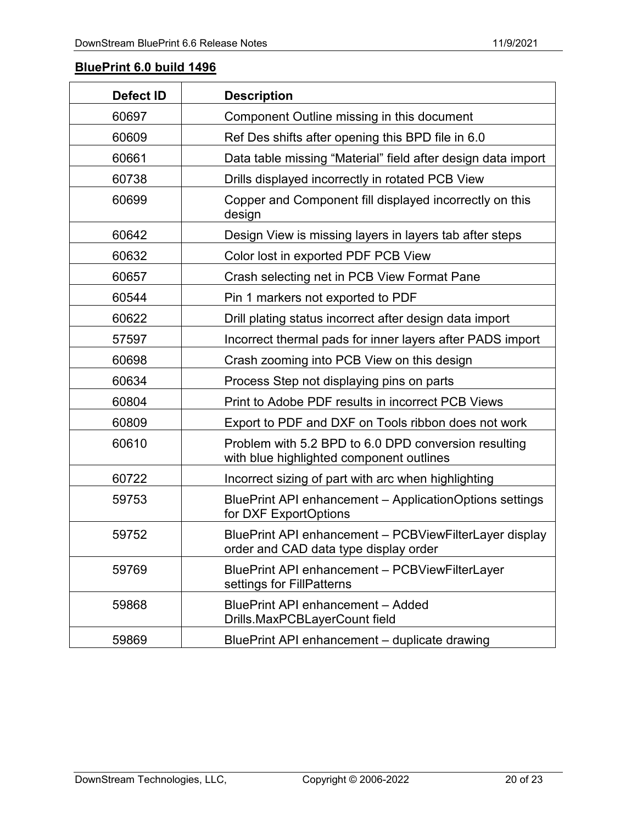| <b>Defect ID</b> | <b>Description</b>                                                                               |
|------------------|--------------------------------------------------------------------------------------------------|
| 60697            | Component Outline missing in this document                                                       |
| 60609            | Ref Des shifts after opening this BPD file in 6.0                                                |
| 60661            | Data table missing "Material" field after design data import                                     |
| 60738            | Drills displayed incorrectly in rotated PCB View                                                 |
| 60699            | Copper and Component fill displayed incorrectly on this<br>design                                |
| 60642            | Design View is missing layers in layers tab after steps                                          |
| 60632            | Color lost in exported PDF PCB View                                                              |
| 60657            | Crash selecting net in PCB View Format Pane                                                      |
| 60544            | Pin 1 markers not exported to PDF                                                                |
| 60622            | Drill plating status incorrect after design data import                                          |
| 57597            | Incorrect thermal pads for inner layers after PADS import                                        |
| 60698            | Crash zooming into PCB View on this design                                                       |
| 60634            | Process Step not displaying pins on parts                                                        |
| 60804            | Print to Adobe PDF results in incorrect PCB Views                                                |
| 60809            | Export to PDF and DXF on Tools ribbon does not work                                              |
| 60610            | Problem with 5.2 BPD to 6.0 DPD conversion resulting<br>with blue highlighted component outlines |
| 60722            | Incorrect sizing of part with arc when highlighting                                              |
| 59753            | BluePrint API enhancement - ApplicationOptions settings<br>for DXF ExportOptions                 |
| 59752            | BluePrint API enhancement - PCBViewFilterLayer display<br>order and CAD data type display order  |
| 59769            | BluePrint API enhancement - PCBViewFilterLayer<br>settings for FillPatterns                      |
| 59868            | <b>BluePrint API enhancement - Added</b><br>Drills.MaxPCBLayerCount field                        |
| 59869            | BluePrint API enhancement - duplicate drawing                                                    |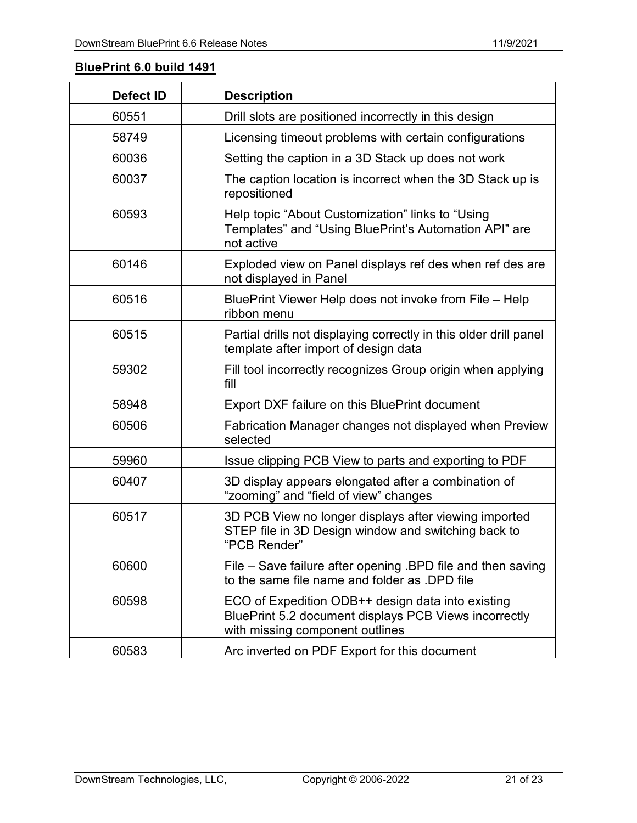| <b>Defect ID</b> | <b>Description</b>                                                                                                                            |
|------------------|-----------------------------------------------------------------------------------------------------------------------------------------------|
| 60551            | Drill slots are positioned incorrectly in this design                                                                                         |
| 58749            | Licensing timeout problems with certain configurations                                                                                        |
| 60036            | Setting the caption in a 3D Stack up does not work                                                                                            |
| 60037            | The caption location is incorrect when the 3D Stack up is<br>repositioned                                                                     |
| 60593            | Help topic "About Customization" links to "Using<br>Templates" and "Using BluePrint's Automation API" are<br>not active                       |
| 60146            | Exploded view on Panel displays ref des when ref des are<br>not displayed in Panel                                                            |
| 60516            | BluePrint Viewer Help does not invoke from File – Help<br>ribbon menu                                                                         |
| 60515            | Partial drills not displaying correctly in this older drill panel<br>template after import of design data                                     |
| 59302            | Fill tool incorrectly recognizes Group origin when applying<br>fill                                                                           |
| 58948            | Export DXF failure on this BluePrint document                                                                                                 |
| 60506            | Fabrication Manager changes not displayed when Preview<br>selected                                                                            |
| 59960            | Issue clipping PCB View to parts and exporting to PDF                                                                                         |
| 60407            | 3D display appears elongated after a combination of<br>"zooming" and "field of view" changes                                                  |
| 60517            | 3D PCB View no longer displays after viewing imported<br>STEP file in 3D Design window and switching back to<br>"PCB Render"                  |
| 60600            | File – Save failure after opening .BPD file and then saving<br>to the same file name and folder as .DPD file                                  |
| 60598            | ECO of Expedition ODB++ design data into existing<br>BluePrint 5.2 document displays PCB Views incorrectly<br>with missing component outlines |
| 60583            | Arc inverted on PDF Export for this document                                                                                                  |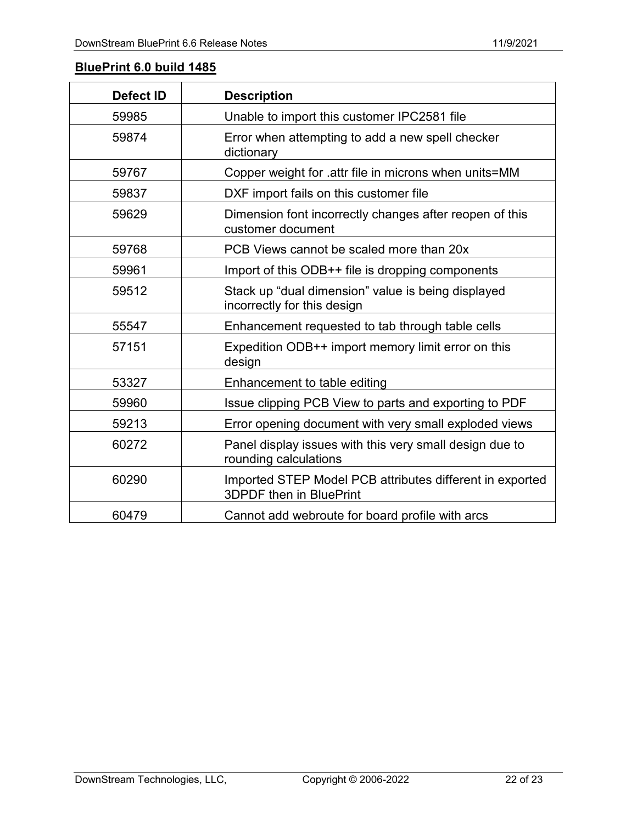| <b>Defect ID</b> | <b>Description</b>                                                                         |
|------------------|--------------------------------------------------------------------------------------------|
| 59985            | Unable to import this customer IPC2581 file                                                |
| 59874            | Error when attempting to add a new spell checker<br>dictionary                             |
| 59767            | Copper weight for .attr file in microns when units=MM                                      |
| 59837            | DXF import fails on this customer file                                                     |
| 59629            | Dimension font incorrectly changes after reopen of this<br>customer document               |
| 59768            | PCB Views cannot be scaled more than 20x                                                   |
| 59961            | Import of this ODB++ file is dropping components                                           |
| 59512            | Stack up "dual dimension" value is being displayed<br>incorrectly for this design          |
| 55547            | Enhancement requested to tab through table cells                                           |
| 57151            | Expedition ODB++ import memory limit error on this<br>design                               |
| 53327            | Enhancement to table editing                                                               |
| 59960            | Issue clipping PCB View to parts and exporting to PDF                                      |
| 59213            | Error opening document with very small exploded views                                      |
| 60272            | Panel display issues with this very small design due to<br>rounding calculations           |
| 60290            | Imported STEP Model PCB attributes different in exported<br><b>3DPDF then in BluePrint</b> |
| 60479            | Cannot add webroute for board profile with arcs                                            |